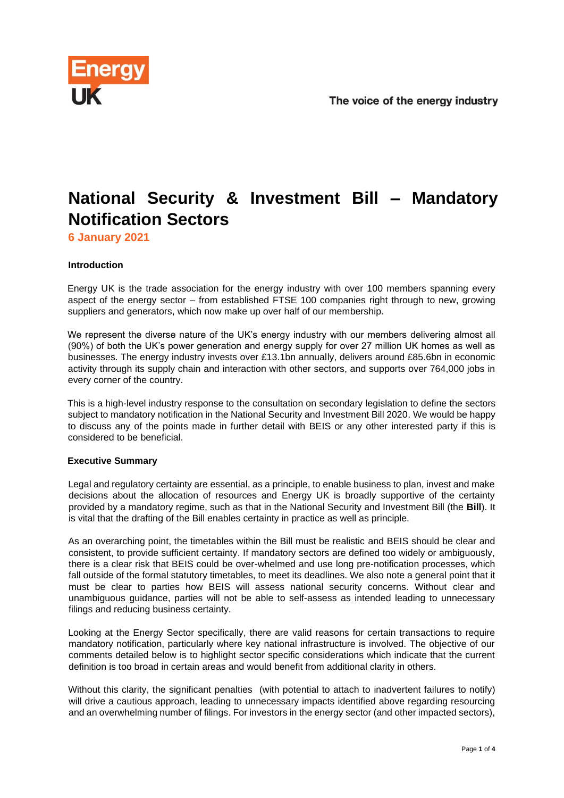

# **National Security & Investment Bill – Mandatory Notification Sectors**

**6 January 2021**

# **Introduction**

Energy UK is the trade association for the energy industry with over 100 members spanning every aspect of the energy sector – from established FTSE 100 companies right through to new, growing suppliers and generators, which now make up over half of our membership.

We represent the diverse nature of the UK's energy industry with our members delivering almost all (90%) of both the UK's power generation and energy supply for over 27 million UK homes as well as businesses. The energy industry invests over £13.1bn annually, delivers around £85.6bn in economic activity through its supply chain and interaction with other sectors, and supports over 764,000 jobs in every corner of the country.

This is a high-level industry response to the consultation on secondary legislation to define the sectors subject to mandatory notification in the National Security and Investment Bill 2020. We would be happy to discuss any of the points made in further detail with BEIS or any other interested party if this is considered to be beneficial.

# **Executive Summary**

Legal and regulatory certainty are essential, as a principle, to enable business to plan, invest and make decisions about the allocation of resources and Energy UK is broadly supportive of the certainty provided by a mandatory regime, such as that in the National Security and Investment Bill (the **Bill**). It is vital that the drafting of the Bill enables certainty in practice as well as principle.

As an overarching point, the timetables within the Bill must be realistic and BEIS should be clear and consistent, to provide sufficient certainty. If mandatory sectors are defined too widely or ambiguously, there is a clear risk that BEIS could be over-whelmed and use long pre-notification processes, which fall outside of the formal statutory timetables, to meet its deadlines. We also note a general point that it must be clear to parties how BEIS will assess national security concerns. Without clear and unambiguous guidance, parties will not be able to self-assess as intended leading to unnecessary filings and reducing business certainty.

Looking at the Energy Sector specifically, there are valid reasons for certain transactions to require mandatory notification, particularly where key national infrastructure is involved. The objective of our comments detailed below is to highlight sector specific considerations which indicate that the current definition is too broad in certain areas and would benefit from additional clarity in others.

Without this clarity, the significant penalties (with potential to attach to inadvertent failures to notify) will drive a cautious approach, leading to unnecessary impacts identified above regarding resourcing and an overwhelming number of filings. For investors in the energy sector (and other impacted sectors),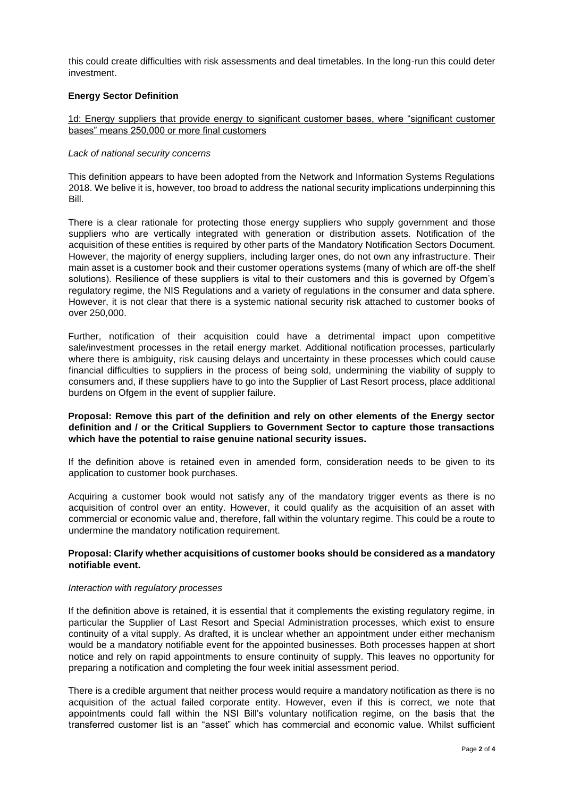this could create difficulties with risk assessments and deal timetables. In the long-run this could deter investment.

### **Energy Sector Definition**

# 1d: Energy suppliers that provide energy to significant customer bases, where "significant customer bases" means 250,000 or more final customers

#### *Lack of national security concerns*

This definition appears to have been adopted from the Network and Information Systems Regulations 2018. We belive it is, however, too broad to address the national security implications underpinning this Bill.

There is a clear rationale for protecting those energy suppliers who supply government and those suppliers who are vertically integrated with generation or distribution assets. Notification of the acquisition of these entities is required by other parts of the Mandatory Notification Sectors Document. However, the majority of energy suppliers, including larger ones, do not own any infrastructure. Their main asset is a customer book and their customer operations systems (many of which are off-the shelf solutions). Resilience of these suppliers is vital to their customers and this is governed by Ofgem's regulatory regime, the NIS Regulations and a variety of regulations in the consumer and data sphere. However, it is not clear that there is a systemic national security risk attached to customer books of over 250,000.

Further, notification of their acquisition could have a detrimental impact upon competitive sale/investment processes in the retail energy market. Additional notification processes, particularly where there is ambiguity, risk causing delays and uncertainty in these processes which could cause financial difficulties to suppliers in the process of being sold, undermining the viability of supply to consumers and, if these suppliers have to go into the Supplier of Last Resort process, place additional burdens on Ofgem in the event of supplier failure.

## **Proposal: Remove this part of the definition and rely on other elements of the Energy sector definition and / or the Critical Suppliers to Government Sector to capture those transactions which have the potential to raise genuine national security issues.**

If the definition above is retained even in amended form, consideration needs to be given to its application to customer book purchases.

Acquiring a customer book would not satisfy any of the mandatory trigger events as there is no acquisition of control over an entity. However, it could qualify as the acquisition of an asset with commercial or economic value and, therefore, fall within the voluntary regime. This could be a route to undermine the mandatory notification requirement.

# **Proposal: Clarify whether acquisitions of customer books should be considered as a mandatory notifiable event.**

#### *Interaction with regulatory processes*

If the definition above is retained, it is essential that it complements the existing regulatory regime, in particular the Supplier of Last Resort and Special Administration processes, which exist to ensure continuity of a vital supply. As drafted, it is unclear whether an appointment under either mechanism would be a mandatory notifiable event for the appointed businesses. Both processes happen at short notice and rely on rapid appointments to ensure continuity of supply. This leaves no opportunity for preparing a notification and completing the four week initial assessment period.

There is a credible argument that neither process would require a mandatory notification as there is no acquisition of the actual failed corporate entity. However, even if this is correct, we note that appointments could fall within the NSI Bill's voluntary notification regime, on the basis that the transferred customer list is an "asset" which has commercial and economic value. Whilst sufficient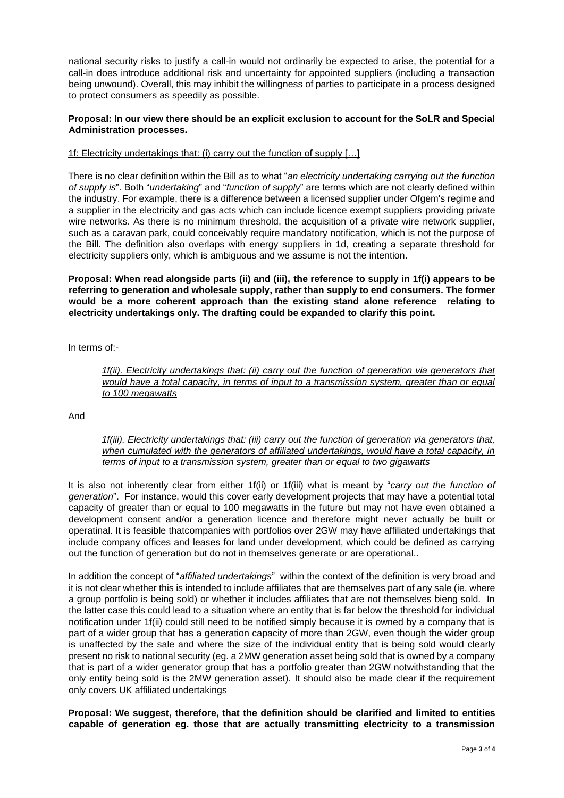national security risks to justify a call-in would not ordinarily be expected to arise, the potential for a call-in does introduce additional risk and uncertainty for appointed suppliers (including a transaction being unwound). Overall, this may inhibit the willingness of parties to participate in a process designed to protect consumers as speedily as possible.

# **Proposal: In our view there should be an explicit exclusion to account for the SoLR and Special Administration processes.**

# 1f: Electricity undertakings that: (i) carry out the function of supply […]

There is no clear definition within the Bill as to what "*an electricity undertaking carrying out the function of supply is*". Both "*undertaking*" and "*function of supply*" are terms which are not clearly defined within the industry. For example, there is a difference between a licensed supplier under Ofgem's regime and a supplier in the electricity and gas acts which can include licence exempt suppliers providing private wire networks. As there is no minimum threshold, the acquisition of a private wire network supplier, such as a caravan park, could conceivably require mandatory notification, which is not the purpose of the Bill. The definition also overlaps with energy suppliers in 1d, creating a separate threshold for electricity suppliers only, which is ambiguous and we assume is not the intention.

**Proposal: When read alongside parts (ii) and (iii), the reference to supply in 1f(i) appears to be referring to generation and wholesale supply, rather than supply to end consumers. The former would be a more coherent approach than the existing stand alone reference relating to electricity undertakings only. The drafting could be expanded to clarify this point.** 

In terms of:-

*1f(ii). Electricity undertakings that: (ii) carry out the function of generation via generators that would have a total capacity, in terms of input to a transmission system, greater than or equal to 100 megawatts*

And

# *1f(iii). Electricity undertakings that: (iii) carry out the function of generation via generators that, when cumulated with the generators of affiliated undertakings, would have a total capacity, in terms of input to a transmission system, greater than or equal to two gigawatts*

It is also not inherently clear from either 1f(ii) or 1f(iii) what is meant by "*carry out the function of generation*". For instance, would this cover early development projects that may have a potential total capacity of greater than or equal to 100 megawatts in the future but may not have even obtained a development consent and/or a generation licence and therefore might never actually be built or operatinal. It is feasible thatcompanies with portfolios over 2GW may have affiliated undertakings that include company offices and leases for land under development, which could be defined as carrying out the function of generation but do not in themselves generate or are operational..

In addition the concept of "*affiliated undertakings*" within the context of the definition is very broad and it is not clear whether this is intended to include affiliates that are themselves part of any sale (ie. where a group portfolio is being sold) or whether it includes affiliates that are not themselves bieng sold. In the latter case this could lead to a situation where an entity that is far below the threshold for individual notification under 1f(ii) could still need to be notified simply because it is owned by a company that is part of a wider group that has a generation capacity of more than 2GW, even though the wider group is unaffected by the sale and where the size of the individual entity that is being sold would clearly present no risk to national security (eg. a 2MW generation asset being sold that is owned by a company that is part of a wider generator group that has a portfolio greater than 2GW notwithstanding that the only entity being sold is the 2MW generation asset). It should also be made clear if the requirement only covers UK affiliated undertakings

**Proposal: We suggest, therefore, that the definition should be clarified and limited to entities capable of generation eg. those that are actually transmitting electricity to a transmission**